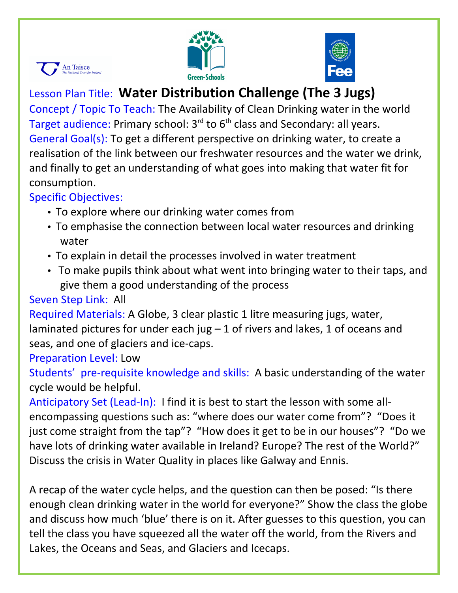





# Lesson Plan Title: **Water Distribution Challenge (The 3 Jugs)**

Concept / Topic To Teach: The Availability of Clean Drinking water in the world Target audience: Primary school:  $3<sup>rd</sup>$  to  $6<sup>th</sup>$  class and Secondary: all years. General Goal(s): To get a different perspective on drinking water, to create a realisation of the link between our freshwater resources and the water we drink, and finally to get an understanding of what goes into making that water fit for consumption.

## Specific Objectives:

- To explore where our drinking water comes from
- To emphasise the connection between local water resources and drinking water
- To explain in detail the processes involved in water treatment
- To make pupils think about what went into bringing water to their taps, and give them a good understanding of the process

# Seven Step Link: All

Required Materials: A Globe, 3 clear plastic 1 litre measuring jugs, water, laminated pictures for under each jug  $-1$  of rivers and lakes, 1 of oceans and seas, and one of glaciers and ice-caps.

Preparation Level: Low

Students' pre-requisite knowledge and skills: A basic understanding of the water cycle would be helpful.

Anticipatory Set (Lead-In): I find it is best to start the lesson with some allencompassing questions such as: "where does our water come from"? "Does it just come straight from the tap"? "How does it get to be in our houses"? "Do we have lots of drinking water available in Ireland? Europe? The rest of the World?" Discuss the crisis in Water Quality in places like Galway and Ennis.

A recap of the water cycle helps, and the question can then be posed: "Is there enough clean drinking water in the world for everyone?" Show the class the globe and discuss how much 'blue' there is on it. After guesses to this question, you can tell the class you have squeezed all the water off the world, from the Rivers and Lakes, the Oceans and Seas, and Glaciers and Icecaps.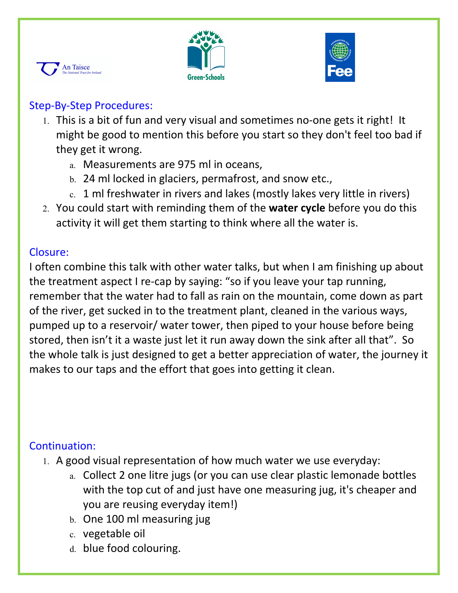





### Step-By-Step Procedures:

- 1. This is a bit of fun and very visual and sometimes no-one gets it right! It might be good to mention this before you start so they don't feel too bad if they get it wrong.
	- a. Measurements are 975 ml in oceans,
	- b. 24 ml locked in glaciers, permafrost, and snow etc.,
	- c. 1 ml freshwater in rivers and lakes (mostly lakes very little in rivers)
- 2. You could start with reminding them of the **water cycle** before you do this activity it will get them starting to think where all the water is.

### Closure:

I often combine this talk with other water talks, but when I am finishing up about the treatment aspect I re-cap by saying: "so if you leave your tap running, remember that the water had to fall as rain on the mountain, come down as part of the river, get sucked in to the treatment plant, cleaned in the various ways, pumped up to a reservoir/ water tower, then piped to your house before being stored, then isn't it a waste just let it run away down the sink after all that". So the whole talk is just designed to get a better appreciation of water, the journey it makes to our taps and the effort that goes into getting it clean.

## Continuation:

- 1. A good visual representation of how much water we use everyday:
	- a. Collect 2 one litre jugs (or you can use clear plastic lemonade bottles with the top cut of and just have one measuring jug, it's cheaper and you are reusing everyday item!)
	- b. One 100 ml measuring jug
	- c. vegetable oil
	- d. blue food colouring.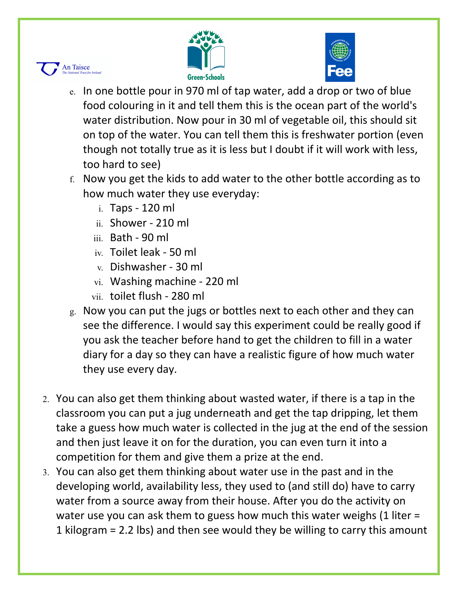



- e. In one bottle pour in 970 ml of tap water, add a drop or two of blue food colouring in it and tell them this is the ocean part of the world's water distribution. Now pour in 30 ml of vegetable oil, this should sit on top of the water. You can tell them this is freshwater portion (even though not totally true as it is less but I doubt if it will work with less, too hard to see)
- f. Now you get the kids to add water to the other bottle according as to how much water they use everyday:
	- i. Taps 120 ml

**An Taisce** 

- ii. Shower 210 ml
- iii. Bath 90 ml
- iv. Toilet leak 50 ml
- v. Dishwasher 30 ml
- vi. Washing machine 220 ml
- vii. toilet flush 280 ml
- g. Now you can put the jugs or bottles next to each other and they can see the difference. I would say this experiment could be really good if you ask the teacher before hand to get the children to fill in a water diary for a day so they can have a realistic figure of how much water they use every day.
- 2. You can also get them thinking about wasted water, if there is a tap in the classroom you can put a jug underneath and get the tap dripping, let them take a guess how much water is collected in the jug at the end of the session and then just leave it on for the duration, you can even turn it into a competition for them and give them a prize at the end.
- 3. You can also get them thinking about water use in the past and in the developing world, availability less, they used to (and still do) have to carry water from a source away from their house. After you do the activity on water use you can ask them to guess how much this water weighs  $(1$  liter = 1 kilogram = 2.2 lbs) and then see would they be willing to carry this amount